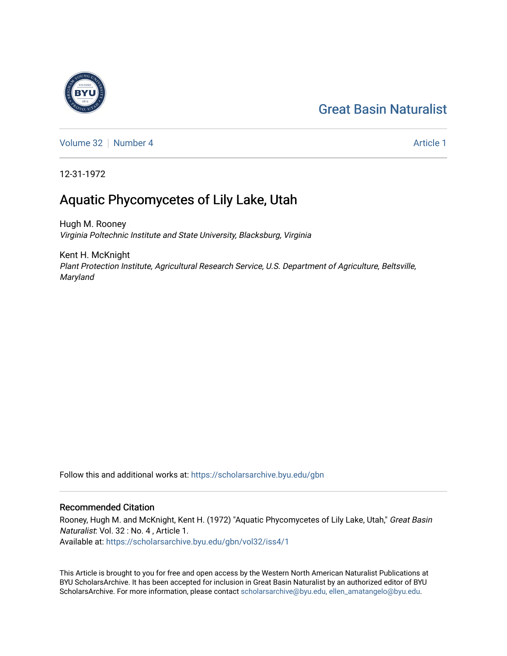## [Great Basin Naturalist](https://scholarsarchive.byu.edu/gbn)



[Volume 32](https://scholarsarchive.byu.edu/gbn/vol32) [Number 4](https://scholarsarchive.byu.edu/gbn/vol32/iss4) [Article 1](https://scholarsarchive.byu.edu/gbn/vol32/iss4/1) Article 1

12-31-1972

# Aquatic Phycomycetes of Lily Lake, Utah

Hugh M. Rooney Virginia Poltechnic Institute and State University, Blacksburg, Virginia

Kent H. McKnight Plant Protection Institute, Agricultural Research Service, U.S. Department of Agriculture, Beltsville, Maryland

Follow this and additional works at: [https://scholarsarchive.byu.edu/gbn](https://scholarsarchive.byu.edu/gbn?utm_source=scholarsarchive.byu.edu%2Fgbn%2Fvol32%2Fiss4%2F1&utm_medium=PDF&utm_campaign=PDFCoverPages) 

### Recommended Citation

Rooney, Hugh M. and McKnight, Kent H. (1972) "Aquatic Phycomycetes of Lily Lake, Utah," Great Basin Naturalist: Vol. 32 : No. 4 , Article 1. Available at: [https://scholarsarchive.byu.edu/gbn/vol32/iss4/1](https://scholarsarchive.byu.edu/gbn/vol32/iss4/1?utm_source=scholarsarchive.byu.edu%2Fgbn%2Fvol32%2Fiss4%2F1&utm_medium=PDF&utm_campaign=PDFCoverPages)

This Article is brought to you for free and open access by the Western North American Naturalist Publications at BYU ScholarsArchive. It has been accepted for inclusion in Great Basin Naturalist by an authorized editor of BYU ScholarsArchive. For more information, please contact [scholarsarchive@byu.edu, ellen\\_amatangelo@byu.edu.](mailto:scholarsarchive@byu.edu,%20ellen_amatangelo@byu.edu)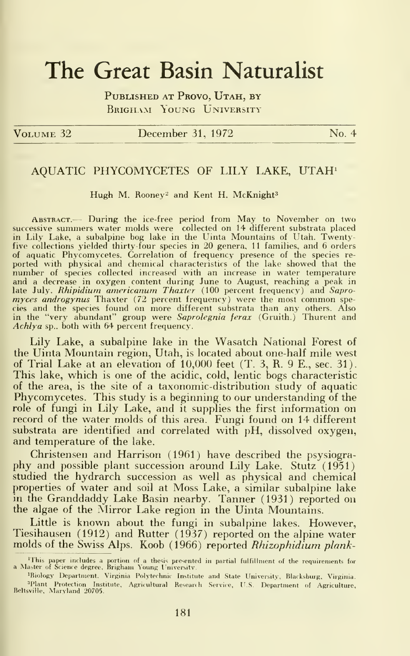### The Great Basin Naturalist

PUBLISHED AT PROVO, UTAH, BY BRIGHAM YOUNG UNIVERSITY

VOLUME 32 December 31, 1972 No. 4

#### AQUATIC PHYCOMYCETES OF LILY LAKE, UTAH^

Hugh M. Rooney<sup>2</sup> and Kent H. McKnight<sup>3</sup>

Abstract.— During the ice-free period from May to November on two successive summers water molds were collected on 14 different substrata placed in Lily Lake, a subalpine bog lake in the Uinta Mountains of Utah. Twentyfive collections yielded thirty-four species in 20 genera, 11 families, and 6 orders of aquatic Phycomycetes. Correlation of frequency presence of the species re-<br>ported with physical and chemical characteristics of the lake showed that the number of species collected increased with an increase in water temperature and a decrease in oxygen content during June to August, reaching a peak in late July. Rhipidium americanum Thaxter (100 percent frequency) and Sapromyces androgynus Thaxter (72 percent frequency) were the most common species and the species found on more different substrata than any others. Also<br>in the "very abundant" group were S*aprolegnia ferax (*Gruith.) Thurent and Achlya sp., both with 64 percent frequency.

Lily Lake, a subalpine lake in the Wasatch National Forest of the Uinta Mountain region, Utah, is located about one-half mile west of Trial Lake at an elevation of 10,000 feet (T. 3, R. 9 E., sec. 31). This lake, which is one of the acidic, cold, lentic bogs characteristic of the area, is the site of a taxonomic-distribution study of aquatic Phycomycetes. This study is a beginning to our understanding of the role of fungi in Lily Lake, and it supplies the first information on record of the water molds of this area. Fungi found on 14 different substrata are identified and correlated with pH, dissolved oxygen, and temperature of the lake.

Christensen and Harrison (1961) have described the psysiography and possible plant succession around Lily Lake. Stutz (1951) studied the hydrarch succession as well as physical and chemical properties of water and soil at Moss Lake, a similar subalpine lake in the Granddaddy Lake Basin nearby. Tanner (1931) reported on the algae of the Mirror Lake region in the Uinta Mountains.

Little is known about the fungi in subalpine lakes. However, Tiesihausen (1912) and Rutter (1937) reported on the alpine water molds of the Swiss Alps. Koob (1966) reported Rhizophidium plank-

<sup>&#</sup>x27;This paper includes a portion of a thesis presented in partial fulfillment of the requirements for a Master of Science degree, Brighain Young University.

<sup>&</sup>lt;sup>1</sup>Biology Department. Virginia Polytechnic Institute and State University, Blacksburg, Virginia.  $^\mathrm{3}$ Plant Protection Institute, Agricultural Research Service, U.S. Department of Agriculture,<br>Beltsville, Maryland 20705.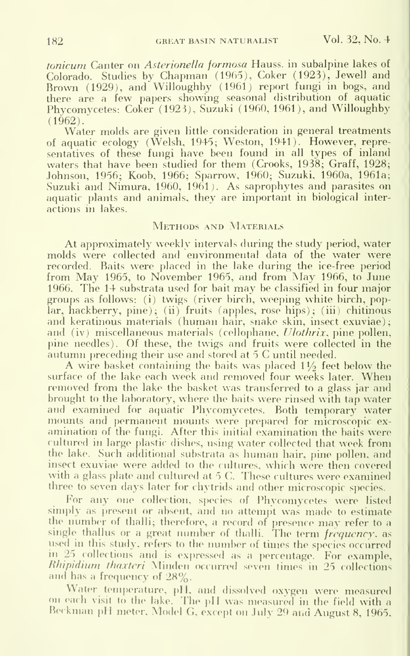tonicum Canter on Asterionella formosa Hauss. in subalpine lakes of Colorado. Studies by Chapman (1965), Coker (1923), Jewell and Brown (1929), and Willoughby (1961) report fungi in bogs, and there are a few papers showing seasonal distribution of aquatic Phycomycetes: Coker (1923), Suzuki (1960, 1961), and Willoughby (1962).

Water molds are given little consideration in general treatments of aquatic ecology (Welsh, 1945; Weston, 1941). However, representatives of these fungi have been found in all types of inland waters that have been studied for them (Crooks, 1938; Graff, 1928; Johnson, 1956; Koob, 1966; Sparrow, 1960; Suzuki, 1960a, 1961a; Suzuki and Nimura, 1960, 1961). As saprophytes and parasites on aquatic plants and animals, they are important in biological inter actions in lakes.

#### METHODS AND MATERIALS

At approximately weekly intervals during the study period, water molds were collected and environmental data of the water were recorded. Baits were placed in the lake during the ice-free period from May 1965, to November 1965, and from May 1966, to June 1966. The 14 substrata used for bait may be classified in four major groups as follows: (i) twigs (river birch, weeping white birch, poplar, hackberry, pine); (ii) fruits (apples, rose hips); (iii) chitinous and keratinous materials (human hair, snake skin, insect exuviae); and (iv) miscellaneous materials (cellophane, Ulothrix, pine pollen, pine needles). Of these, the twigs and fruits were collected in the autumn preceding their use and stored at 5 C until needed.

A wire basket containing the baits was placed 11/2 feet below the surface of the lake each week and removed four weeks later. When removed from the lake the basket was transferred to a glass jar and brought to the laboratory, where the baits were rinsed with tap water and examined for aquatic Phycomycetes. Both temporary water mounts and permanent mounts were prepared for microscopic examination of the fungi. After this initial examination the baits were cultured in large plastic dishes, using water collected that week from the lake. Such additional substrata as human hair, pine pollen, and insect exuviae were added to the cultures, which were then covered with a glass plate and cultured at 5 C. These cultures were examined three to seven days later for chytrids and other microscopic species.

For any one collection, species of Phycomycetes were listed simply as present or absent, and no attempt was made to estimate the rumiber of thalli; therefore, <sup>a</sup> record of presence may refer to <sup>a</sup> single thallus or a great number of thalli. The term *frequency*, as used in this study, refers to the number of times the species occurred in 25 collections and is expressed as a percentage. For example, Rhipidium thaxteri Minden occurred seven times in 25 collections and has a frequency of  $28\%$ .

Water temperature, pH, and dissolved oxygen were measured on each visit to the lake. The pH was measured in the field with a Beckman pH meter, Model G, except on July 29 and August 8, 1965,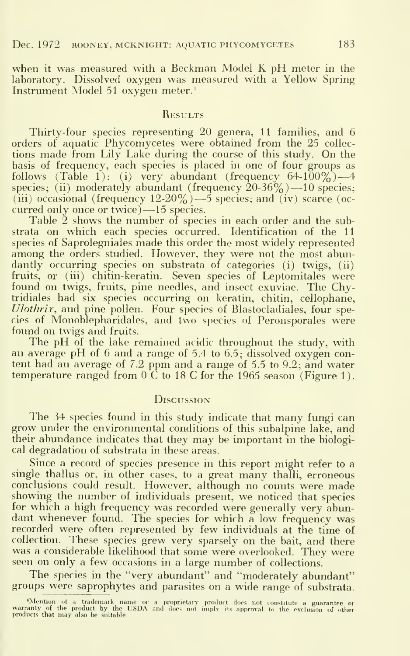when it was measured with <sup>a</sup> Beckman Model K pH meter in the laboratory. Dissolved oxygen was measured with a Yellow Spring Instrument Model 51 oxygen meter.'

#### **RESULTS**

Thirty-four species representing 20 genera, 11 families, and 6 orders of aquatic Phycomycetes were obtained from the 25 collec tions made from Lily Lake during the course of this study. On the basis of frequency, each species is placed in one of four groups as follows (Table 1): (i) very abundant (frequency  $64-100\%$ )—4 species; (ii) moderately abundant (frequency 20-36%)-10 species; (iii) occasional (frequency  $12{\cdot}20\%$ ) —5 species; and (iv) scarce (oc-<br>curred only once or twice) —15 species.

Table 2 shows the number of species in each order and the substrata on which each species occurred. Identification of the 11 species of Saprolegniales made this order the most widely represented among the orders studied. However, they were not the most abundantly occurring species on substrata of categories (i) twigs, (ii) fruits, or (iii) chitin-keratin. Seven species of Leptomitales were found on twigs, fruits, pine needles, and insect exuviae. The Chytridiales had six species occurring on keratin, chitin, cellophane, *, and pine pollen. Four species of Blastocladiales, four spe*cies of Monoblepharidales, and two species of Peronsporales were found on twigs and fruits.

The pH of the lake remained acidic throughout the study, with an average pH of <sup>6</sup> and <sup>a</sup> range of 5.4 to 6.5; dissolved oxygen content had an average of 7.2 ppm and <sup>a</sup> range of 5.5 to 9.2; and water temperature ranged from  $0\text{ }C$  to 18 C for the 1965 season (Figure 1).

#### **Discussion**

The <sup>34</sup> species found in this study indicate that many fungi can grow under the environmental conditions of this subalpine lake, and their abundance indicates that they may be important in the biological degradation of substrata in these areas.

Since a record of species presence in this report might refer to a single thallus or, in other cases, to <sup>a</sup> great many thalli, erroneous conclusions could result. However, although no counts were made showing the number of individuals present, we noticed that species for which <sup>a</sup> high frequency was recorded were generally very abundant whenever found. The species for which <sup>a</sup> low frequency was recorded were often represented by few individuals at the time of collection. These species grew very sparsely on the bait, and there was a considerable likelihood that some were overlooked. They were seen on only a few occasions in a large number of collections.

The species in the "very abundant" and "moderately abundant" groups were saprophytes and parasites on <sup>a</sup> wide range of substrata.

<sup>•</sup>Mpntion iif ii trademark name or <sup>a</sup> proprietary prodmt does not warranty of the product by the USDA and does not iniph- its approval products that may also be suitable.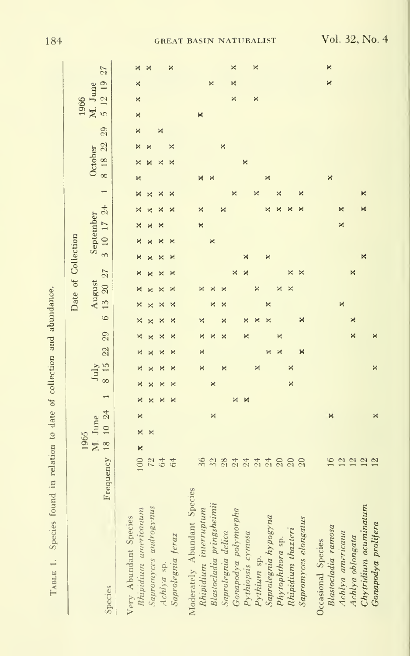| l<br>֦֦֦֦֦֦֦֖֦֧֧֦֧֦֧֦֧֧֦֧֚֚֚֚֚֬֝֬֝֬֝֝֬֝֓֬֝֝֓֬֝֓֝֬֝֓֝֓֓ |  |  |  |
|--------------------------------------------------------|--|--|--|
| and<br>$\frac{1}{2}$                                   |  |  |  |
| l<br>$\ddot{\phantom{a}}$                              |  |  |  |
| ı<br>ö                                                 |  |  |  |
| ldle<br>$\frac{1}{2}$                                  |  |  |  |
| $\overline{c}$                                         |  |  |  |
| contractor contractor<br>֕                             |  |  |  |
| m                                                      |  |  |  |
| $\overline{a}$<br>į                                    |  |  |  |
|                                                        |  |  |  |
|                                                        |  |  |  |
|                                                        |  |  |  |
| Į<br>í                                                 |  |  |  |

|                             |                    |      |         |   |                          |              |    |    |   |         | Date of Collection |   |   |   |                         |                         |   |   |                    |   |    | 1966 |                  |   |             |
|-----------------------------|--------------------|------|---------|---|--------------------------|--------------|----|----|---|---------|--------------------|---|---|---|-------------------------|-------------------------|---|---|--------------------|---|----|------|------------------|---|-------------|
| Species                     | Frequency 18 10 24 | 1965 | M. June |   | $\overline{\phantom{a}}$ | 8 15<br>July | 22 | 29 |   | $\circ$ | 13 20 27<br>August |   |   |   | 3 10 17 24<br>September |                         | ÷ |   | 8 18 22<br>October |   | 29 |      | 51219<br>M. June |   | $\tilde{c}$ |
|                             |                    |      |         |   |                          |              |    |    |   |         |                    |   |   |   |                         |                         |   |   |                    |   |    |      |                  |   |             |
| Very Abundant Species       |                    |      |         |   |                          |              |    |    |   |         |                    |   |   |   |                         |                         |   |   |                    |   |    |      | ×                | × |             |
| Rhipidium americanum        | $\otimes$          | ×    | ×       | × |                          |              |    | ×  |   |         |                    |   |   |   |                         |                         | × | × |                    |   | ×  | ×    |                  |   |             |
| Sapromyces androgynus       | $\frac{2}{64}$     |      | ×       |   |                          |              |    |    |   |         |                    |   |   |   |                         |                         |   |   |                    |   |    |      |                  |   |             |
| Achlya sp.                  |                    |      |         |   |                          |              |    |    |   |         |                    |   |   |   |                         |                         | × |   | ×                  |   | ×  |      |                  |   |             |
| Saprolegnia ferax           | 64                 |      |         |   |                          | ×            |    |    |   |         |                    |   |   |   |                         |                         |   |   |                    | × |    |      |                  |   | ×           |
| Moderately Abundant Species |                    |      |         |   |                          |              |    |    |   |         |                    |   |   |   |                         |                         |   |   |                    |   |    |      |                  |   |             |
| Rhipidium interruptum       | 36                 |      |         |   |                          | ×            | ×  |    |   |         | bó                 |   |   |   | ×                       | ×                       |   | × |                    |   |    | ×    |                  |   |             |
| Blastocladia pringsheimii   |                    |      |         | × |                          | ×            |    |    |   |         | ×                  |   |   | × |                         |                         |   | × |                    |   |    |      |                  | × |             |
| Saprolegnia delica          | Sattrades          |      |         |   |                          | ×            |    |    |   |         |                    |   |   |   |                         | ×                       |   |   |                    | × |    |      |                  |   |             |
| Gonapodya polymorpha        |                    |      |         |   | ×                        |              |    |    |   |         |                    |   |   |   |                         |                         | × |   |                    |   |    |      | ×                | × | ×           |
| Pythiopsis cymosa           |                    |      |         |   | к                        |              |    | ×  | × |         |                    | × | × |   |                         |                         |   |   | ×                  |   |    |      |                  |   |             |
| Pythium sp.                 |                    |      |         |   |                          | ×            |    |    |   |         | ×                  |   |   |   |                         |                         | × |   |                    |   |    |      | ×                |   | ×           |
| Saprolegnia hypogyna        |                    |      |         |   |                          |              | ×  |    | × | ×       |                    |   | × |   |                         | ×                       |   | × |                    |   |    |      |                  |   |             |
| Phytophthora sp.            |                    |      |         |   |                          |              | ×  | ×  |   |         |                    |   |   |   |                         | ×                       | × |   |                    |   |    |      |                  |   |             |
| Rhipidium thaxteri          |                    |      |         |   |                          | ×<br>×       |    |    |   |         |                    | × |   |   |                         | $\overline{\mathbf{x}}$ |   |   |                    |   |    |      |                  |   |             |
| Sapromyces elongatus        | $\Omega$           |      |         |   |                          |              | ×  |    | × |         |                    | × |   |   |                         | ×                       | × |   |                    |   |    |      |                  |   |             |
| Occasional Species          |                    |      |         |   |                          |              |    |    |   |         |                    |   |   |   |                         |                         |   |   |                    |   |    |      |                  |   |             |
| Blastocladia ramosa         | 16                 |      |         | × |                          |              |    |    |   |         |                    |   |   |   |                         |                         |   | × |                    |   |    |      |                  | × | ×           |
| Achlya americana            | $\overline{a}$     |      |         |   |                          |              |    |    |   | ×       |                    |   |   |   | ×                       | ×                       |   |   |                    |   |    |      |                  |   |             |
| Achlya oblongata            | $\frac{1}{2}$      |      |         |   |                          |              |    | ×  | × |         |                    | × |   |   |                         |                         |   |   |                    |   |    |      |                  |   |             |
| Chytridium acuminatum       | 12                 |      |         |   |                          |              |    |    |   |         |                    |   | к |   |                         | ×                       | × |   |                    |   |    |      |                  |   |             |
| Gonapodya prolifera         | $\overline{2}$     |      |         | × |                          | ×            |    | ×  |   |         |                    |   |   |   |                         |                         |   |   |                    |   |    |      |                  |   |             |
|                             |                    |      |         |   |                          |              |    |    |   |         |                    |   |   |   |                         |                         |   |   |                    |   |    |      |                  |   |             |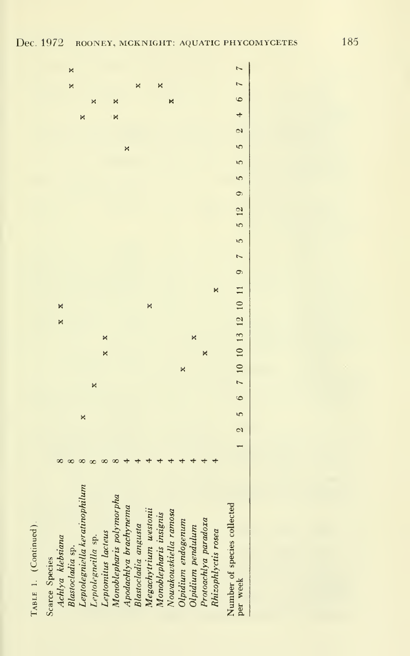

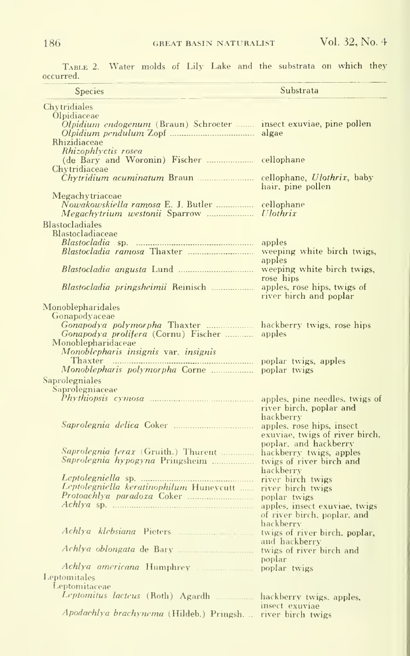| <b>Species</b>                                                                                                             | Substrata                                                                |
|----------------------------------------------------------------------------------------------------------------------------|--------------------------------------------------------------------------|
|                                                                                                                            |                                                                          |
| Chytridiales<br>Olpidiaceae<br><i>Olpidium endogenum</i> (Braun) Schroeter  insect exuviae, pine pollen<br>Rhizidiaceae    |                                                                          |
| Rhizophlyctis rosea<br>Chytridiaceae                                                                                       |                                                                          |
|                                                                                                                            | hair, pine pollen                                                        |
| Megachytriaceae<br>Nowakowskiella ramosa E. J. Butler                                                                      | cellophane                                                               |
| <b>Blastocladiales</b><br>Blastocladiaceae                                                                                 |                                                                          |
|                                                                                                                            | weeping white birch twigs,<br>apples                                     |
|                                                                                                                            | weeping white birch twigs,<br>rose hips                                  |
|                                                                                                                            | apples, rose hips, twigs of<br>river birch and poplar                    |
| Monoblepharidales                                                                                                          |                                                                          |
| Gonapodyaceae<br>Gonapodya prolifera (Cornu) Fischer  apples<br>Monoblepharidaceae<br>Monoblepharis insignis var. insignis |                                                                          |
| Thaxter<br>Monoblepharis polymorpha Corne                                                                                  | poplar twigs, apples<br>poplar twigs                                     |
| Saprolegniales<br>Saprolegniaceae                                                                                          | apples, pine needles, twigs of<br>river birch, poplar and                |
| Saprolegnia delica Coker                                                                                                   | hackberry<br>apples, rose hips, insect<br>exuviae, twigs of river birch, |
|                                                                                                                            | poplar, and hackberry<br>hackberry twigs, apples<br>hackberry            |
| Leptolegniella keratinophilum Huneycutt  river birch twigs                                                                 | of river birch, poplar, and                                              |
|                                                                                                                            | hackberry                                                                |
|                                                                                                                            | and hackberry<br>poplar                                                  |
|                                                                                                                            |                                                                          |
| Leptomitales                                                                                                               |                                                                          |
| Leptomitaceae                                                                                                              |                                                                          |
| Leptomitus lacteus (Roth) Agardh  hackberry twigs, apples,                                                                 | insect exuviae                                                           |
| Apodachlya brachynema (Hildeb.) Pringsh                                                                                    | river birch twigs                                                        |

TABLE 2.Water molds of Lily Lake and the substrata on which they occurred.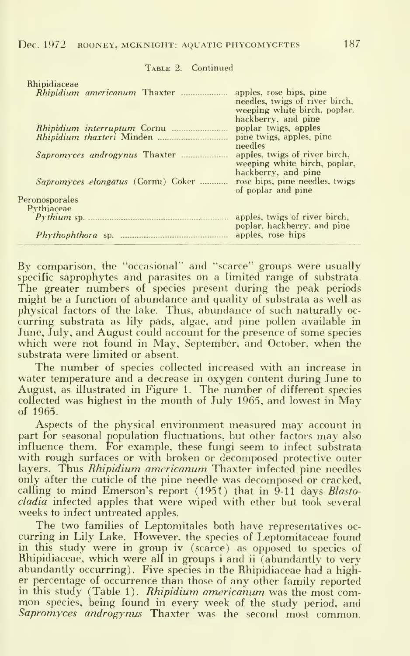#### TABLE 2. Continued

| <b>Rhipidiaceae</b>                       | apples, rose hips, pine<br>needles, twigs of river birch,<br>weeping white birch, poplar.                              |
|-------------------------------------------|------------------------------------------------------------------------------------------------------------------------|
| <i>Rhipidium interruptum</i> Cornu        | hackberry, and pine<br>poplar twigs, apples<br>pine twigs, apples, pine<br>needles                                     |
| <i>Sapromyces elongatus</i> (Cornu) Coker | apples, twigs of river birch,<br>weeping white birch, poplar,<br>hackberry, and pine<br>rose hips, pine needles, twigs |
| Peronosporales                            | of poplar and pine                                                                                                     |
| Pythiaceae                                | apples, twigs of river birch,<br>poplar, hackberry, and pine                                                           |
|                                           | apples, rose hips                                                                                                      |

By comparison, the "occasional" and "scarce" groups were usually specific saprophytes and parasites on a limited range of substrata. The greater numbers of species present during the peak periods might be a function of abundance and quality of substrata as well as physical factors of the lake. Thus, abundance of such naturally oc curring substrata as lily pads, algae, and pine pollen available in June, July, and August could account for the presence of some species which were not found in May, September, and October, when the substrata were limited or absent.

The number of species collected increased with an increase in water temperature and a decrease in oxygen content during June to August, as illustrated in Figure 1. The number of different species collected was highest in the month of July 1965, and lowest in May of 1965.

Aspects of the physical environment measured may account in part for seasonal population fluctuations, but other factors may also influence them. For example, these fungi seem to infect substrata with rough surfaces or with broken or decomposed protective outer layers. Thus Rhipidium americanum Thaxter infected pine needles only after the cuticle of the pine needle was decomposed or cracked, calling to mind Emerson's report (1951) that in 9-11 days Blastocladia infected apples that were wiped with ether but took several weeks to infect untreated apples.

The two families of Leptomitales both have representatives oc curring in Lily Lake. However, the species of Leptomitaceae found in this study were in group iv (scarce) as opposed to species of Rhipidiaceae, which were all in groups <sup>i</sup> and ii (abundantly to very abundantly occurring). Five species in the Rhipidiaceae had a higher percentage of occurrence than those of any other family reported<br>in this study (Table 1). Rhipidium americanum was the most common species, being found in every week of the study period, and Sapromyces androgynus Thaxter was the second most common.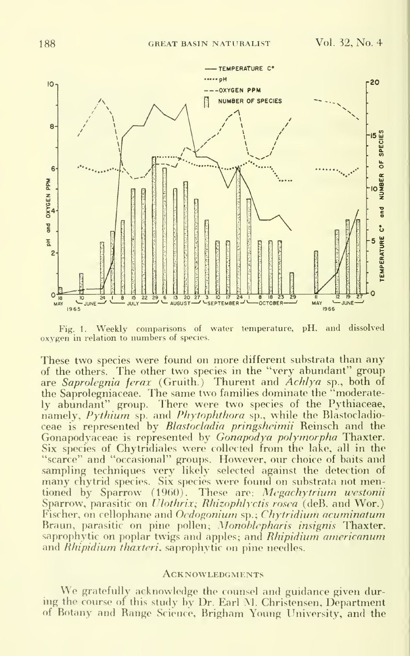

Fig. 1. Weekly comparisons of water temperature, pH, and dissolved oxygen in relation to numbers of species.

These two species were found on more different substrata than any of the others. The other two species in the "very abundant" group are Saprolegnia ferax (Gruith.) Thurent and Achlya sp., both of the Saprolegniaceae. The same two families dominate the "moderate-Ity abundant" group. There were two species of the Pythiaceae, namely, *Pythium* sp. and *Phytophthora* sp., while the Blastocladioceae is represented by Blastocladia pringsheimii Reinsch and the Gonapodyaceae is represented by Gonapodya polymorpha Thaxter. Six species of Chytridiales were collected from the lake, all in the "scarce" and "occasional" groups. However, our choice of baits and sampling techniques very likely selected against the detection of many chytrid species. Six species were found on substrata not mentioned by Sparrow (1960). These are: Megachytrium westonii Sparrow, parasitic on *Ulothrix; Rhizophlyctis rosea* (deB. and Wor.) Fischer, on cellophane and Oedogonium sp.; Chytridium acuminatum Braun, parasitic on pine pollen; Monoblepharis insignis Thaxter, saprophytic on poplar twigs and apples; and Rhipidium americanum and *Rhipidium thaxteri*, saprophytic on pine needles.

#### **ACKNOWLEDGMENTS**

We gratefully acknowledge the counsel and guidance given during the course of this study by Dr. Earl M. Christensen, Department of Botany and Range Science, Brigham Young University, and the